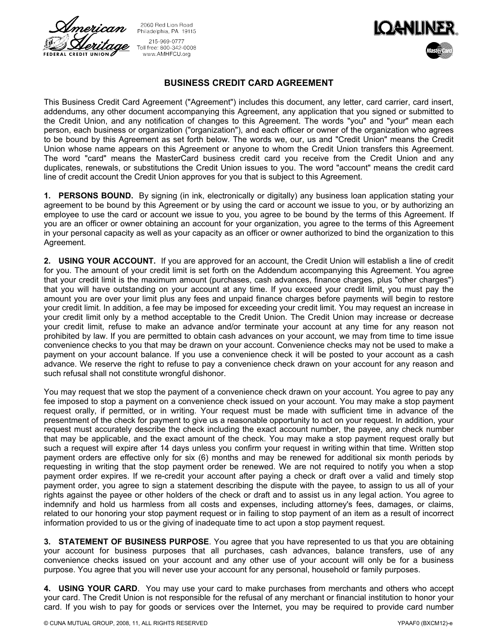

2060 Red Lion Road Philadelphia, PA 19115 215-969-0777 Toll free: 800-342-0008 www.AMHFCU.org



## **BUSINESS CREDIT CARD AGREEMENT**

This Business Credit Card Agreement ("Agreement") includes this document, any letter, card carrier, card insert, addendums, any other document accompanying this Agreement, any application that you signed or submitted to the Credit Union, and any notification of changes to this Agreement. The words "you" and "your" mean each person, each business or organization ("organization"), and each officer or owner of the organization who agrees to be bound by this Agreement as set forth below. The words we, our, us and "Credit Union" means the Credit Union whose name appears on this Agreement or anyone to whom the Credit Union transfers this Agreement. The word "card" means the MasterCard business credit card you receive from the Credit Union and any duplicates, renewals, or substitutions the Credit Union issues to you. The word "account" means the credit card line of credit account the Credit Union approves for you that is subject to this Agreement.

**1. PERSONS BOUND.** By signing (in ink, electronically or digitally) any business loan application stating your agreement to be bound by this Agreement or by using the card or account we issue to you, or by authorizing an employee to use the card or account we issue to you, you agree to be bound by the terms of this Agreement. If you are an officer or owner obtaining an account for your organization, you agree to the terms of this Agreement in your personal capacity as well as your capacity as an officer or owner authorized to bind the organization to this Agreement.

**2. USING YOUR ACCOUNT.** If you are approved for an account, the Credit Union will establish a line of credit for you. The amount of your credit limit is set forth on the Addendum accompanying this Agreement. You agree that your credit limit is the maximum amount (purchases, cash advances, finance charges, plus "other charges") that you will have outstanding on your account at any time. If you exceed your credit limit, you must pay the amount you are over your limit plus any fees and unpaid finance charges before payments will begin to restore your credit limit. In addition, a fee may be imposed for exceeding your credit limit. You may request an increase in your credit limit only by a method acceptable to the Credit Union. The Credit Union may increase or decrease your credit limit, refuse to make an advance and/or terminate your account at any time for any reason not prohibited by law. If you are permitted to obtain cash advances on your account, we may from time to time issue convenience checks to you that may be drawn on your account. Convenience checks may not be used to make a payment on your account balance. If you use a convenience check it will be posted to your account as a cash advance. We reserve the right to refuse to pay a convenience check drawn on your account for any reason and such refusal shall not constitute wrongful dishonor.

You may request that we stop the payment of a convenience check drawn on your account. You agree to pay any fee imposed to stop a payment on a convenience check issued on your account. You may make a stop payment request orally, if permitted, or in writing. Your request must be made with sufficient time in advance of the presentment of the check for payment to give us a reasonable opportunity to act on your request. In addition, your request must accurately describe the check including the exact account number, the payee, any check number that may be applicable, and the exact amount of the check. You may make a stop payment request orally but such a request will expire after 14 days unless you confirm your request in writing within that time. Written stop payment orders are effective only for six (6) months and may be renewed for additional six month periods by requesting in writing that the stop payment order be renewed. We are not required to notify you when a stop payment order expires. If we re-credit your account after paying a check or draft over a valid and timely stop payment order, you agree to sign a statement describing the dispute with the payee, to assign to us all of your rights against the payee or other holders of the check or draft and to assist us in any legal action. You agree to indemnify and hold us harmless from all costs and expenses, including attorney's fees, damages, or claims, related to our honoring your stop payment request or in failing to stop payment of an item as a result of incorrect information provided to us or the giving of inadequate time to act upon a stop payment request.

**3. STATEMENT OF BUSINESS PURPOSE**. You agree that you have represented to us that you are obtaining your account for business purposes that all purchases, cash advances, balance transfers, use of any convenience checks issued on your account and any other use of your account will only be for a business purpose. You agree that you will never use your account for any personal, household or family purposes.

**4. USING YOUR CARD**. You may use your card to make purchases from merchants and others who accept your card. The Credit Union is not responsible for the refusal of any merchant or financial institution to honor your card. If you wish to pay for goods or services over the Internet, you may be required to provide card number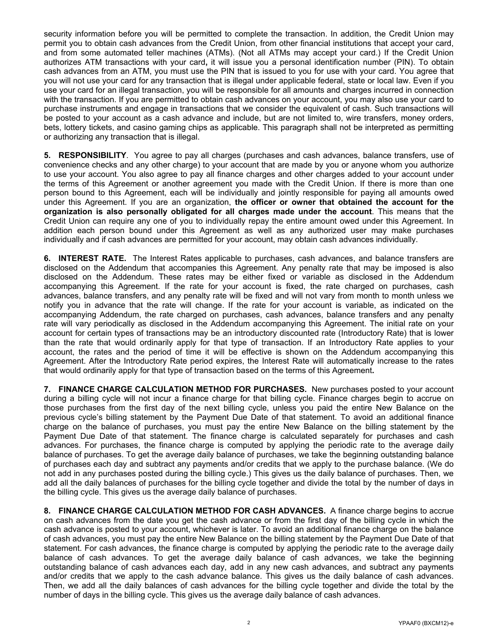security information before you will be permitted to complete the transaction. In addition, the Credit Union may permit you to obtain cash advances from the Credit Union, from other financial institutions that accept your card, and from some automated teller machines (ATMs). (Not all ATMs may accept your card.) If the Credit Union authorizes ATM transactions with your card**,** it will issue you a personal identification number (PIN). To obtain cash advances from an ATM, you must use the PIN that is issued to you for use with your card. You agree that you will not use your card for any transaction that is illegal under applicable federal, state or local law. Even if you use your card for an illegal transaction, you will be responsible for all amounts and charges incurred in connection with the transaction. If you are permitted to obtain cash advances on your account, you may also use your card to purchase instruments and engage in transactions that we consider the equivalent of cash. Such transactions will be posted to your account as a cash advance and include, but are not limited to, wire transfers, money orders, bets, lottery tickets, and casino gaming chips as applicable. This paragraph shall not be interpreted as permitting or authorizing any transaction that is illegal.

**5. RESPONSIBILITY**. You agree to pay all charges (purchases and cash advances, balance transfers, use of convenience checks and any other charge) to your account that are made by you or anyone whom you authorize to use your account. You also agree to pay all finance charges and other charges added to your account under the terms of this Agreement or another agreement you made with the Credit Union. If there is more than one person bound to this Agreement, each will be individually and jointly responsible for paying all amounts owed under this Agreement. If you are an organization, **the officer or owner that obtained the account for the organization is also personally obligated for all charges made under the account**. This means that the Credit Union can require any one of you to individually repay the entire amount owed under this Agreement. In addition each person bound under this Agreement as well as any authorized user may make purchases individually and if cash advances are permitted for your account, may obtain cash advances individually.

**6. INTEREST RATE.** The Interest Rates applicable to purchases, cash advances, and balance transfers are disclosed on the Addendum that accompanies this Agreement. Any penalty rate that may be imposed is also disclosed on the Addendum. These rates may be either fixed or variable as disclosed in the Addendum accompanying this Agreement. If the rate for your account is fixed, the rate charged on purchases, cash advances, balance transfers, and any penalty rate will be fixed and will not vary from month to month unless we notify you in advance that the rate will change. If the rate for your account is variable, as indicated on the accompanying Addendum, the rate charged on purchases, cash advances, balance transfers and any penalty rate will vary periodically as disclosed in the Addendum accompanying this Agreement. The initial rate on your account for certain types of transactions may be an introductory discounted rate (Introductory Rate) that is lower than the rate that would ordinarily apply for that type of transaction. If an Introductory Rate applies to your account, the rates and the period of time it will be effective is shown on the Addendum accompanying this Agreement. After the Introductory Rate period expires, the Interest Rate will automatically increase to the rates that would ordinarily apply for that type of transaction based on the terms of this Agreement**.** 

**7. FINANCE CHARGE CALCULATION METHOD FOR PURCHASES.** New purchases posted to your account during a billing cycle will not incur a finance charge for that billing cycle. Finance charges begin to accrue on those purchases from the first day of the next billing cycle, unless you paid the entire New Balance on the previous cycle's billing statement by the Payment Due Date of that statement. To avoid an additional finance charge on the balance of purchases, you must pay the entire New Balance on the billing statement by the Payment Due Date of that statement. The finance charge is calculated separately for purchases and cash advances. For purchases, the finance charge is computed by applying the periodic rate to the average daily balance of purchases. To get the average daily balance of purchases, we take the beginning outstanding balance of purchases each day and subtract any payments and/or credits that we apply to the purchase balance. (We do not add in any purchases posted during the billing cycle.) This gives us the daily balance of purchases. Then, we add all the daily balances of purchases for the billing cycle together and divide the total by the number of days in the billing cycle. This gives us the average daily balance of purchases.

**8. FINANCE CHARGE CALCULATION METHOD FOR CASH ADVANCES.** A finance charge begins to accrue on cash advances from the date you get the cash advance or from the first day of the billing cycle in which the cash advance is posted to your account, whichever is later. To avoid an additional finance charge on the balance of cash advances, you must pay the entire New Balance on the billing statement by the Payment Due Date of that statement. For cash advances, the finance charge is computed by applying the periodic rate to the average daily balance of cash advances. To get the average daily balance of cash advances, we take the beginning outstanding balance of cash advances each day, add in any new cash advances, and subtract any payments and/or credits that we apply to the cash advance balance. This gives us the daily balance of cash advances. Then, we add all the daily balances of cash advances for the billing cycle together and divide the total by the number of days in the billing cycle. This gives us the average daily balance of cash advances.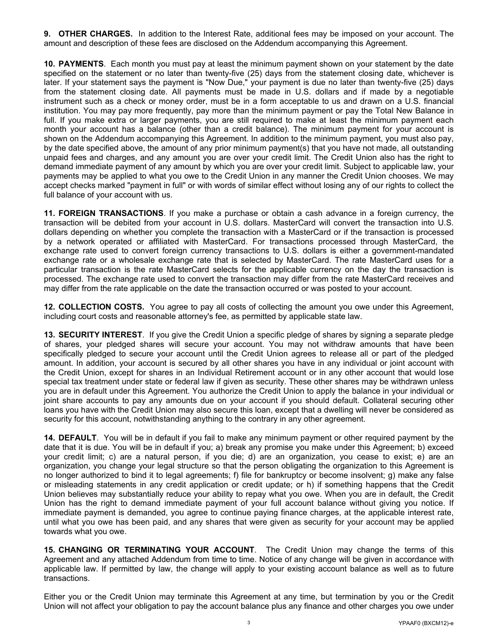**9. OTHER CHARGES.** In addition to the Interest Rate, additional fees may be imposed on your account. The amount and description of these fees are disclosed on the Addendum accompanying this Agreement.

**10. PAYMENTS**. Each month you must pay at least the minimum payment shown on your statement by the date specified on the statement or no later than twenty-five (25) days from the statement closing date, whichever is later. If your statement says the payment is "Now Due," your payment is due no later than twenty-five (25) days from the statement closing date. All payments must be made in U.S. dollars and if made by a negotiable instrument such as a check or money order, must be in a form acceptable to us and drawn on a U.S. financial institution. You may pay more frequently, pay more than the minimum payment or pay the Total New Balance in full. If you make extra or larger payments, you are still required to make at least the minimum payment each month your account has a balance (other than a credit balance). The minimum payment for your account is shown on the Addendum accompanying this Agreement. In addition to the minimum payment, you must also pay, by the date specified above, the amount of any prior minimum payment(s) that you have not made, all outstanding unpaid fees and charges, and any amount you are over your credit limit. The Credit Union also has the right to demand immediate payment of any amount by which you are over your credit limit. Subject to applicable law, your payments may be applied to what you owe to the Credit Union in any manner the Credit Union chooses. We may accept checks marked "payment in full" or with words of similar effect without losing any of our rights to collect the full balance of your account with us.

**11. FOREIGN TRANSACTIONS**. If you make a purchase or obtain a cash advance in a foreign currency, the transaction will be debited from your account in U.S. dollars. MasterCard will convert the transaction into U.S. dollars depending on whether you complete the transaction with a MasterCard or if the transaction is processed by a network operated or affiliated with MasterCard. For transactions processed through MasterCard, the exchange rate used to convert foreign currency transactions to U.S. dollars is either a government-mandated exchange rate or a wholesale exchange rate that is selected by MasterCard. The rate MasterCard uses for a particular transaction is the rate MasterCard selects for the applicable currency on the day the transaction is processed. The exchange rate used to convert the transaction may differ from the rate MasterCard receives and may differ from the rate applicable on the date the transaction occurred or was posted to your account.

**12. COLLECTION COSTS.** You agree to pay all costs of collecting the amount you owe under this Agreement, including court costs and reasonable attorney's fee, as permitted by applicable state law.

**13. SECURITY INTEREST**. If you give the Credit Union a specific pledge of shares by signing a separate pledge of shares, your pledged shares will secure your account. You may not withdraw amounts that have been specifically pledged to secure your account until the Credit Union agrees to release all or part of the pledged amount. In addition, your account is secured by all other shares you have in any individual or joint account with the Credit Union, except for shares in an Individual Retirement account or in any other account that would lose special tax treatment under state or federal law if given as security. These other shares may be withdrawn unless you are in default under this Agreement. You authorize the Credit Union to apply the balance in your individual or joint share accounts to pay any amounts due on your account if you should default. Collateral securing other loans you have with the Credit Union may also secure this loan, except that a dwelling will never be considered as security for this account, notwithstanding anything to the contrary in any other agreement.

**14. DEFAULT**. You will be in default if you fail to make any minimum payment or other required payment by the date that it is due. You will be in default if you; a) break any promise you make under this Agreement; b) exceed your credit limit; c) are a natural person, if you die; d) are an organization, you cease to exist; e) are an organization, you change your legal structure so that the person obligating the organization to this Agreement is no longer authorized to bind it to legal agreements; f) file for bankruptcy or become insolvent; g) make any false or misleading statements in any credit application or credit update; or h) if something happens that the Credit Union believes may substantially reduce your ability to repay what you owe. When you are in default, the Credit Union has the right to demand immediate payment of your full account balance without giving you notice. If immediate payment is demanded, you agree to continue paying finance charges, at the applicable interest rate, until what you owe has been paid, and any shares that were given as security for your account may be applied towards what you owe.

**15. CHANGING OR TERMINATING YOUR ACCOUNT**. The Credit Union may change the terms of this Agreement and any attached Addendum from time to time. Notice of any change will be given in accordance with applicable law. If permitted by law, the change will apply to your existing account balance as well as to future transactions.

Either you or the Credit Union may terminate this Agreement at any time, but termination by you or the Credit Union will not affect your obligation to pay the account balance plus any finance and other charges you owe under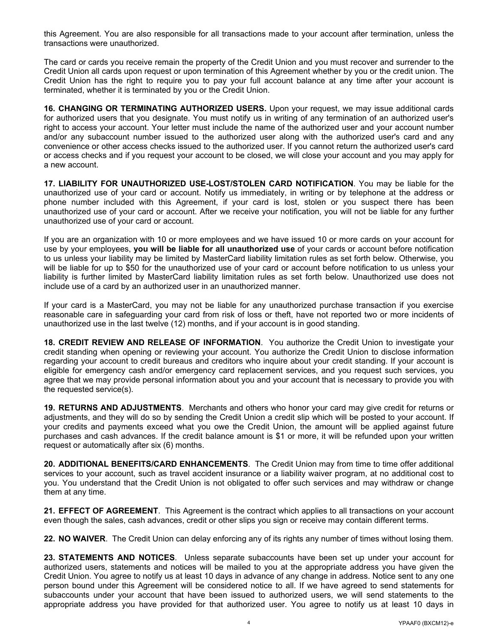this Agreement. You are also responsible for all transactions made to your account after termination, unless the transactions were unauthorized.

The card or cards you receive remain the property of the Credit Union and you must recover and surrender to the Credit Union all cards upon request or upon termination of this Agreement whether by you or the credit union. The Credit Union has the right to require you to pay your full account balance at any time after your account is terminated, whether it is terminated by you or the Credit Union.

**16. CHANGING OR TERMINATING AUTHORIZED USERS.** Upon your request, we may issue additional cards for authorized users that you designate. You must notify us in writing of any termination of an authorized user's right to access your account. Your letter must include the name of the authorized user and your account number and/or any subaccount number issued to the authorized user along with the authorized user's card and any convenience or other access checks issued to the authorized user. If you cannot return the authorized user's card or access checks and if you request your account to be closed, we will close your account and you may apply for a new account.

**17. LIABILITY FOR UNAUTHORIZED USE-LOST/STOLEN CARD NOTIFICATION**. You may be liable for the unauthorized use of your card or account. Notify us immediately, in writing or by telephone at the address or phone number included with this Agreement, if your card is lost, stolen or you suspect there has been unauthorized use of your card or account. After we receive your notification, you will not be liable for any further unauthorized use of your card or account.

If you are an organization with 10 or more employees and we have issued 10 or more cards on your account for use by your employees, **you will be liable for all unauthorized use** of your cards or account before notification to us unless your liability may be limited by MasterCard liability limitation rules as set forth below. Otherwise, you will be liable for up to \$50 for the unauthorized use of your card or account before notification to us unless your liability is further limited by MasterCard liability limitation rules as set forth below. Unauthorized use does not include use of a card by an authorized user in an unauthorized manner.

If your card is a MasterCard, you may not be liable for any unauthorized purchase transaction if you exercise reasonable care in safeguarding your card from risk of loss or theft, have not reported two or more incidents of unauthorized use in the last twelve (12) months, and if your account is in good standing.

**18. CREDIT REVIEW AND RELEASE OF INFORMATION**. You authorize the Credit Union to investigate your credit standing when opening or reviewing your account. You authorize the Credit Union to disclose information regarding your account to credit bureaus and creditors who inquire about your credit standing. If your account is eligible for emergency cash and/or emergency card replacement services, and you request such services, you agree that we may provide personal information about you and your account that is necessary to provide you with the requested service(s).

**19. RETURNS AND ADJUSTMENTS**. Merchants and others who honor your card may give credit for returns or adjustments, and they will do so by sending the Credit Union a credit slip which will be posted to your account. If your credits and payments exceed what you owe the Credit Union, the amount will be applied against future purchases and cash advances. If the credit balance amount is \$1 or more, it will be refunded upon your written request or automatically after six (6) months.

**20. ADDITIONAL BENEFITS/CARD ENHANCEMENTS**. The Credit Union may from time to time offer additional services to your account, such as travel accident insurance or a liability waiver program, at no additional cost to you. You understand that the Credit Union is not obligated to offer such services and may withdraw or change them at any time.

**21. EFFECT OF AGREEMENT**. This Agreement is the contract which applies to all transactions on your account even though the sales, cash advances, credit or other slips you sign or receive may contain different terms.

**22. NO WAIVER**. The Credit Union can delay enforcing any of its rights any number of times without losing them.

**23. STATEMENTS AND NOTICES**. Unless separate subaccounts have been set up under your account for authorized users, statements and notices will be mailed to you at the appropriate address you have given the Credit Union. You agree to notify us at least 10 days in advance of any change in address. Notice sent to any one person bound under this Agreement will be considered notice to all. If we have agreed to send statements for subaccounts under your account that have been issued to authorized users, we will send statements to the appropriate address you have provided for that authorized user. You agree to notify us at least 10 days in